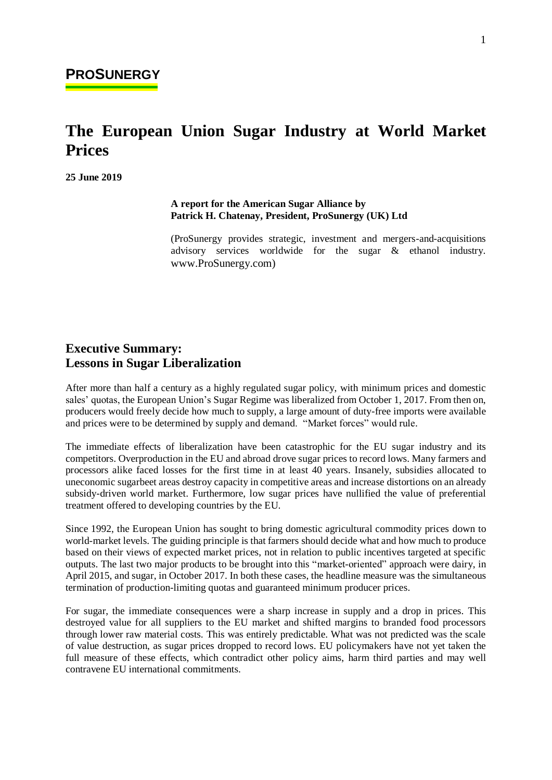# **The European Union Sugar Industry at World Market Prices**

**25 June 2019**

E

#### **A report for the American Sugar Alliance by Patrick H. Chatenay, President, ProSunergy (UK) Ltd**

(ProSunergy provides strategic, investment and mergers-and-acquisitions advisory services worldwide for the sugar & ethanol industry. www.ProSunergy.com)

### **Executive Summary: Lessons in Sugar Liberalization**

After more than half a century as a highly regulated sugar policy, with minimum prices and domestic sales' quotas, the European Union's Sugar Regime was liberalized from October 1, 2017. From then on, producers would freely decide how much to supply, a large amount of duty-free imports were available and prices were to be determined by supply and demand. "Market forces" would rule.

The immediate effects of liberalization have been catastrophic for the EU sugar industry and its competitors. Overproduction in the EU and abroad drove sugar prices to record lows. Many farmers and processors alike faced losses for the first time in at least 40 years. Insanely, subsidies allocated to uneconomic sugarbeet areas destroy capacity in competitive areas and increase distortions on an already subsidy-driven world market. Furthermore, low sugar prices have nullified the value of preferential treatment offered to developing countries by the EU.

Since 1992, the European Union has sought to bring domestic agricultural commodity prices down to world-market levels. The guiding principle is that farmers should decide what and how much to produce based on their views of expected market prices, not in relation to public incentives targeted at specific outputs. The last two major products to be brought into this "market-oriented" approach were dairy, in April 2015, and sugar, in October 2017. In both these cases, the headline measure was the simultaneous termination of production-limiting quotas and guaranteed minimum producer prices.

For sugar, the immediate consequences were a sharp increase in supply and a drop in prices. This destroyed value for all suppliers to the EU market and shifted margins to branded food processors through lower raw material costs. This was entirely predictable. What was not predicted was the scale of value destruction, as sugar prices dropped to record lows. EU policymakers have not yet taken the full measure of these effects, which contradict other policy aims, harm third parties and may well contravene EU international commitments.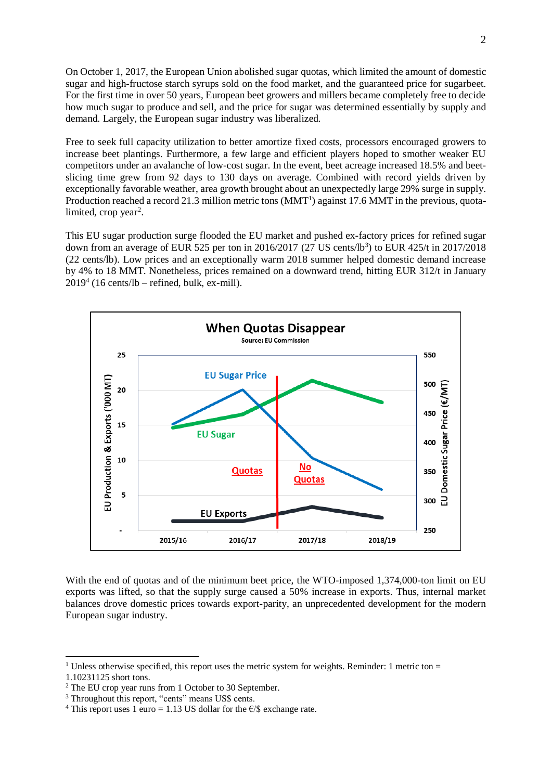On October 1, 2017, the European Union abolished sugar quotas, which limited the amount of domestic sugar and high-fructose starch syrups sold on the food market, and the guaranteed price for sugarbeet. For the first time in over 50 years, European beet growers and millers became completely free to decide how much sugar to produce and sell, and the price for sugar was determined essentially by supply and demand. Largely, the European sugar industry was liberalized.

Free to seek full capacity utilization to better amortize fixed costs, processors encouraged growers to increase beet plantings. Furthermore, a few large and efficient players hoped to smother weaker EU competitors under an avalanche of low-cost sugar. In the event, beet acreage increased 18.5% and beetslicing time grew from 92 days to 130 days on average. Combined with record yields driven by exceptionally favorable weather, area growth brought about an unexpectedly large 29% surge in supply. Production reached a record 21.3 million metric tons  $(MMT<sup>1</sup>)$  against 17.6 MMT in the previous, quotalimited, crop year<sup>2</sup>.

This EU sugar production surge flooded the EU market and pushed ex-factory prices for refined sugar down from an average of EUR 525 per ton in 2016/2017 (27 US cents/lb<sup>3</sup>) to EUR 425/t in 2017/2018 (22 cents/lb). Low prices and an exceptionally warm 2018 summer helped domestic demand increase by 4% to 18 MMT. Nonetheless, prices remained on a downward trend, hitting EUR 312/t in January  $2019<sup>4</sup>$  (16 cents/lb – refined, bulk, ex-mill).



With the end of quotas and of the minimum beet price, the WTO-imposed 1,374,000-ton limit on EU exports was lifted, so that the supply surge caused a 50% increase in exports. Thus, internal market balances drove domestic prices towards export-parity, an unprecedented development for the modern European sugar industry.

<sup>&</sup>lt;sup>1</sup> Unless otherwise specified, this report uses the metric system for weights. Reminder: 1 metric ton  $=$ 

<sup>1.10231125</sup> short tons.

<sup>2</sup> The EU crop year runs from 1 October to 30 September.

<sup>&</sup>lt;sup>3</sup> Throughout this report, "cents" means US\$ cents.

<sup>&</sup>lt;sup>4</sup> This report uses 1 euro = 1.13 US dollar for the  $\epsilon$ /\$ exchange rate.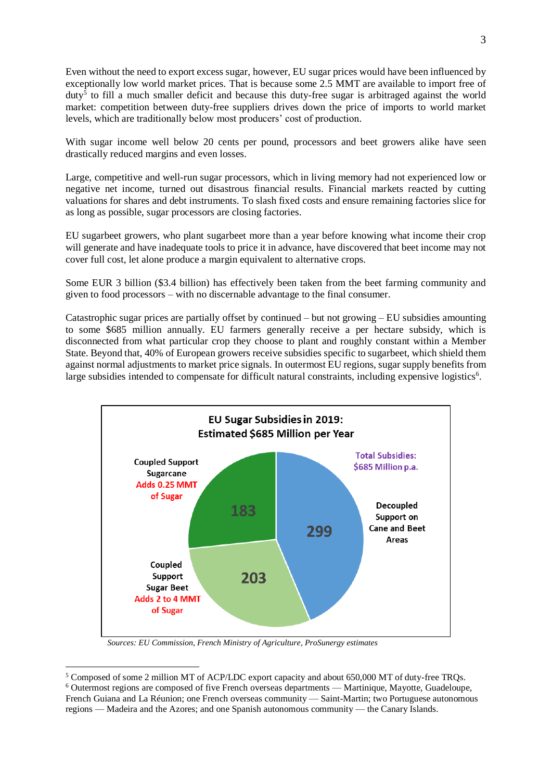Even without the need to export excess sugar, however, EU sugar prices would have been influenced by exceptionally low world market prices. That is because some 2.5 MMT are available to import free of duty<sup>5</sup> to fill a much smaller deficit and because this duty-free sugar is arbitraged against the world market: competition between duty-free suppliers drives down the price of imports to world market levels, which are traditionally below most producers' cost of production.

With sugar income well below 20 cents per pound, processors and beet growers alike have seen drastically reduced margins and even losses.

Large, competitive and well-run sugar processors, which in living memory had not experienced low or negative net income, turned out disastrous financial results. Financial markets reacted by cutting valuations for shares and debt instruments. To slash fixed costs and ensure remaining factories slice for as long as possible, sugar processors are closing factories.

EU sugarbeet growers, who plant sugarbeet more than a year before knowing what income their crop will generate and have inadequate tools to price it in advance, have discovered that beet income may not cover full cost, let alone produce a margin equivalent to alternative crops.

Some EUR 3 billion (\$3.4 billion) has effectively been taken from the beet farming community and given to food processors – with no discernable advantage to the final consumer.

Catastrophic sugar prices are partially offset by continued – but not growing – EU subsidies amounting to some \$685 million annually. EU farmers generally receive a per hectare subsidy, which is disconnected from what particular crop they choose to plant and roughly constant within a Member State. Beyond that, 40% of European growers receive subsidies specific to sugarbeet, which shield them against normal adjustments to market price signals. In outermost EU regions, sugar supply benefits from large subsidies intended to compensate for difficult natural constraints, including expensive logistics<sup>6</sup>.



 *Sources: EU Commission, French Ministry of Agriculture, ProSunergy estimates*

<sup>5</sup> Composed of some 2 million MT of ACP/LDC export capacity and about 650,000 MT of duty-free TRQs. <sup>6</sup> Outermost regions are composed of five French overseas departments — Martinique, Mayotte, Guadeloupe, French Guiana and La Réunion; one French overseas community — Saint-Martin; two Portuguese autonomous regions — Madeira and the Azores; and one Spanish autonomous community — the Canary Islands.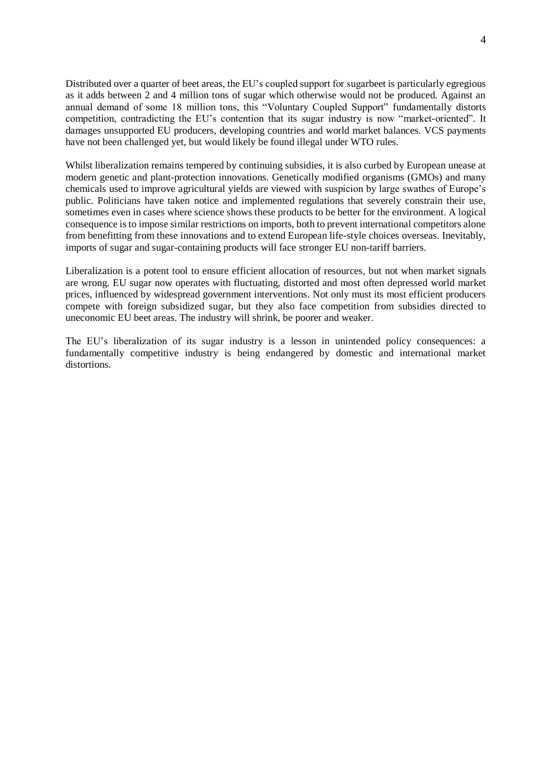Distributed over a quarter of beet areas, the EU's coupled support for sugarbeet is particularly egregious as it adds between 2 and 4 million tons of sugar which otherwise would not be produced. Against an annual demand of some 18 million tons, this "Voluntary Coupled Support" fundamentally distorts competition, contradicting the EU's contention that its sugar industry is now "market-oriented". It damages unsupported EU producers, developing countries and world market balances. VCS payments have not been challenged yet, but would likely be found illegal under WTO rules.

Whilst liberalization remains tempered by continuing subsidies, it is also curbed by European unease at modern genetic and plant-protection innovations. Genetically modified organisms (GMOs) and many chemicals used to improve agricultural yields are viewed with suspicion by large swathes of Europe's public. Politicians have taken notice and implemented regulations that severely constrain their use, sometimes even in cases where science shows these products to be better for the environment. A logical consequence is to impose similar restrictions on imports, both to prevent international competitors alone from benefitting from these innovations and to extend European life-style choices overseas. Inevitably, imports of sugar and sugar-containing products will face stronger EU non-tariff barriers.

Liberalization is a potent tool to ensure efficient allocation of resources, but not when market signals are wrong. EU sugar now operates with fluctuating, distorted and most often depressed world market prices, influenced by widespread government interventions. Not only must its most efficient producers compete with foreign subsidized sugar, but they also face competition from subsidies directed to uneconomic EU beet areas. The industry will shrink, be poorer and weaker.

The EU's liberalization of its sugar industry is a lesson in unintended policy consequences: a fundamentally competitive industry is being endangered by domestic and international market distortions.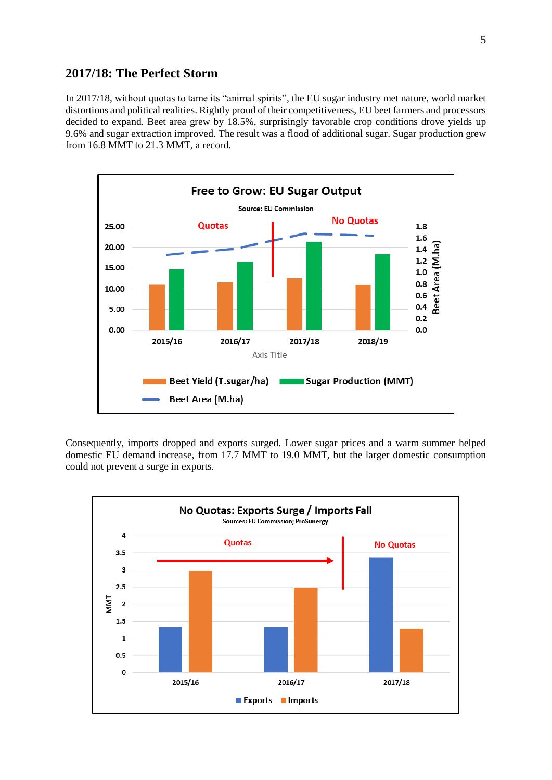### **2017/18: The Perfect Storm**

In 2017/18, without quotas to tame its "animal spirits", the EU sugar industry met nature, world market distortions and political realities. Rightly proud of their competitiveness, EU beet farmers and processors decided to expand. Beet area grew by 18.5%, surprisingly favorable crop conditions drove yields up 9.6% and sugar extraction improved. The result was a flood of additional sugar. Sugar production grew from 16.8 MMT to 21.3 MMT, a record.



Consequently, imports dropped and exports surged. Lower sugar prices and a warm summer helped domestic EU demand increase, from 17.7 MMT to 19.0 MMT, but the larger domestic consumption could not prevent a surge in exports.

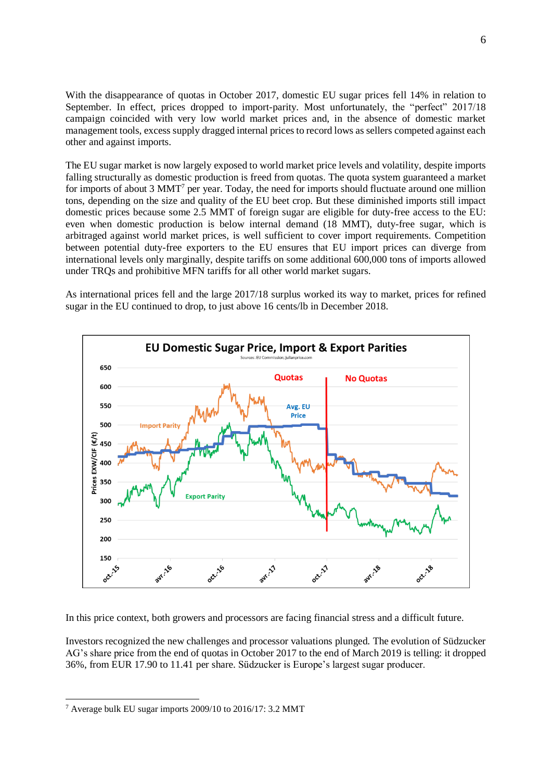With the disappearance of quotas in October 2017, domestic EU sugar prices fell 14% in relation to September. In effect, prices dropped to import-parity. Most unfortunately, the "perfect" 2017/18 campaign coincided with very low world market prices and, in the absence of domestic market management tools, excess supply dragged internal prices to record lows as sellers competed against each other and against imports.

The EU sugar market is now largely exposed to world market price levels and volatility, despite imports falling structurally as domestic production is freed from quotas. The quota system guaranteed a market for imports of about 3 MMT<sup>7</sup> per year. Today, the need for imports should fluctuate around one million tons, depending on the size and quality of the EU beet crop. But these diminished imports still impact domestic prices because some 2.5 MMT of foreign sugar are eligible for duty-free access to the EU: even when domestic production is below internal demand (18 MMT), duty-free sugar, which is arbitraged against world market prices, is well sufficient to cover import requirements. Competition between potential duty-free exporters to the EU ensures that EU import prices can diverge from international levels only marginally, despite tariffs on some additional 600,000 tons of imports allowed under TRQs and prohibitive MFN tariffs for all other world market sugars.

As international prices fell and the large 2017/18 surplus worked its way to market, prices for refined sugar in the EU continued to drop, to just above 16 cents/lb in December 2018.



In this price context, both growers and processors are facing financial stress and a difficult future.

Investors recognized the new challenges and processor valuations plunged. The evolution of Südzucker AG's share price from the end of quotas in October 2017 to the end of March 2019 is telling: it dropped 36%, from EUR 17.90 to 11.41 per share. Südzucker is Europe's largest sugar producer.

<sup>7</sup> Average bulk EU sugar imports 2009/10 to 2016/17: 3.2 MMT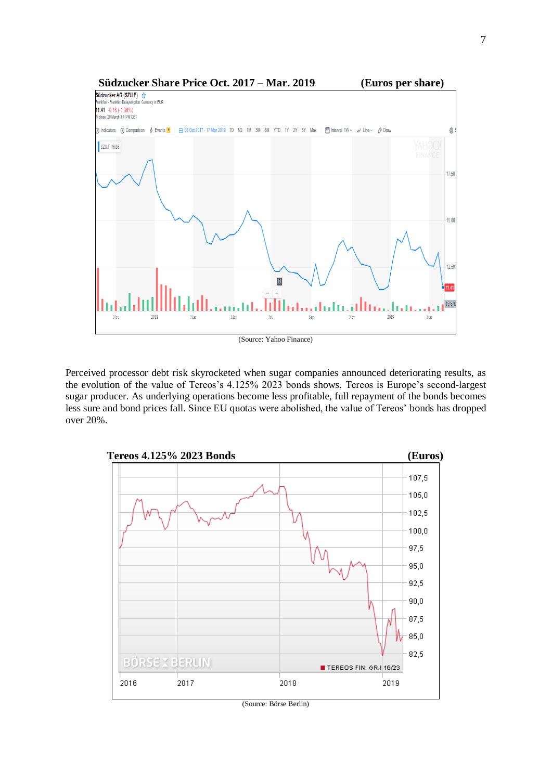

Perceived processor debt risk skyrocketed when sugar companies announced deteriorating results, as the evolution of the value of Tereos's 4.125% 2023 bonds shows. Tereos is Europe's second-largest sugar producer. As underlying operations become less profitable, full repayment of the bonds becomes less sure and bond prices fall. Since EU quotas were abolished, the value of Tereos' bonds has dropped over 20%.

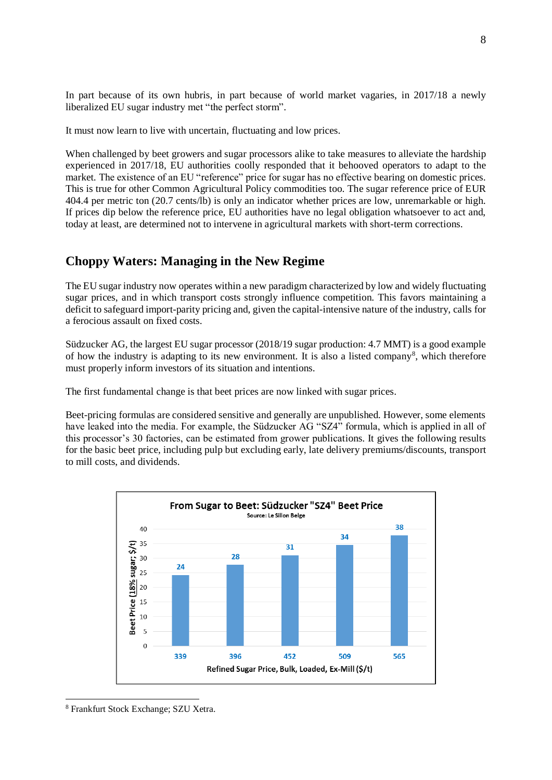In part because of its own hubris, in part because of world market vagaries, in 2017/18 a newly liberalized EU sugar industry met "the perfect storm".

It must now learn to live with uncertain, fluctuating and low prices.

When challenged by beet growers and sugar processors alike to take measures to alleviate the hardship experienced in 2017/18, EU authorities coolly responded that it behooved operators to adapt to the market. The existence of an EU "reference" price for sugar has no effective bearing on domestic prices. This is true for other Common Agricultural Policy commodities too. The sugar reference price of EUR 404.4 per metric ton (20.7 cents/lb) is only an indicator whether prices are low, unremarkable or high. If prices dip below the reference price, EU authorities have no legal obligation whatsoever to act and, today at least, are determined not to intervene in agricultural markets with short-term corrections.

# **Choppy Waters: Managing in the New Regime**

The EU sugar industry now operates within a new paradigm characterized by low and widely fluctuating sugar prices, and in which transport costs strongly influence competition. This favors maintaining a deficit to safeguard import-parity pricing and, given the capital-intensive nature of the industry, calls for a ferocious assault on fixed costs.

Südzucker AG, the largest EU sugar processor (2018/19 sugar production: 4.7 MMT) is a good example of how the industry is adapting to its new environment. It is also a listed company<sup>8</sup>, which therefore must properly inform investors of its situation and intentions.

The first fundamental change is that beet prices are now linked with sugar prices.

Beet-pricing formulas are considered sensitive and generally are unpublished. However, some elements have leaked into the media. For example, the Südzucker AG "SZ4" formula, which is applied in all of this processor's 30 factories, can be estimated from grower publications. It gives the following results for the basic beet price, including pulp but excluding early, late delivery premiums/discounts, transport to mill costs, and dividends.



<sup>8</sup> Frankfurt Stock Exchange; SZU Xetra.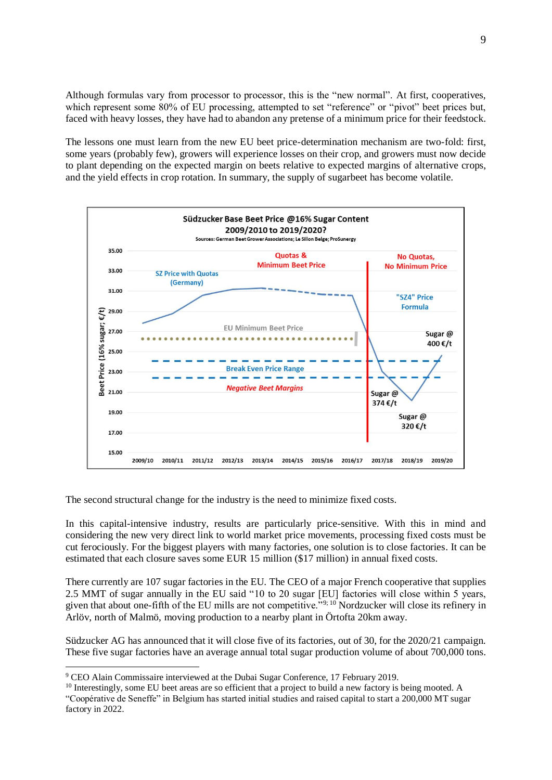Although formulas vary from processor to processor, this is the "new normal". At first, cooperatives, which represent some 80% of EU processing, attempted to set "reference" or "pivot" beet prices but, faced with heavy losses, they have had to abandon any pretense of a minimum price for their feedstock.

The lessons one must learn from the new EU beet price-determination mechanism are two-fold: first, some years (probably few), growers will experience losses on their crop, and growers must now decide to plant depending on the expected margin on beets relative to expected margins of alternative crops, and the yield effects in crop rotation. In summary, the supply of sugarbeet has become volatile.



The second structural change for the industry is the need to minimize fixed costs.

In this capital-intensive industry, results are particularly price-sensitive. With this in mind and considering the new very direct link to world market price movements, processing fixed costs must be cut ferociously. For the biggest players with many factories, one solution is to close factories. It can be estimated that each closure saves some EUR 15 million (\$17 million) in annual fixed costs.

There currently are 107 sugar factories in the EU. The CEO of a major French cooperative that supplies 2.5 MMT of sugar annually in the EU said "10 to 20 sugar [EU] factories will close within 5 years, given that about one-fifth of the EU mills are not competitive."9; 10 Nordzucker will close its refinery in Arlöv, north of Malmö, moving production to a nearby plant in Örtofta 20km away.

Südzucker AG has announced that it will close five of its factories, out of 30, for the 2020/21 campaign. These five sugar factories have an average annual total sugar production volume of about 700,000 tons.

<sup>9</sup> CEO Alain Commissaire interviewed at the Dubai Sugar Conference, 17 February 2019.

<sup>&</sup>lt;sup>10</sup> Interestingly, some EU beet areas are so efficient that a project to build a new factory is being mooted. A "Coopérative de Seneffe" in Belgium has started initial studies and raised capital to start a 200,000 MT sugar factory in 2022.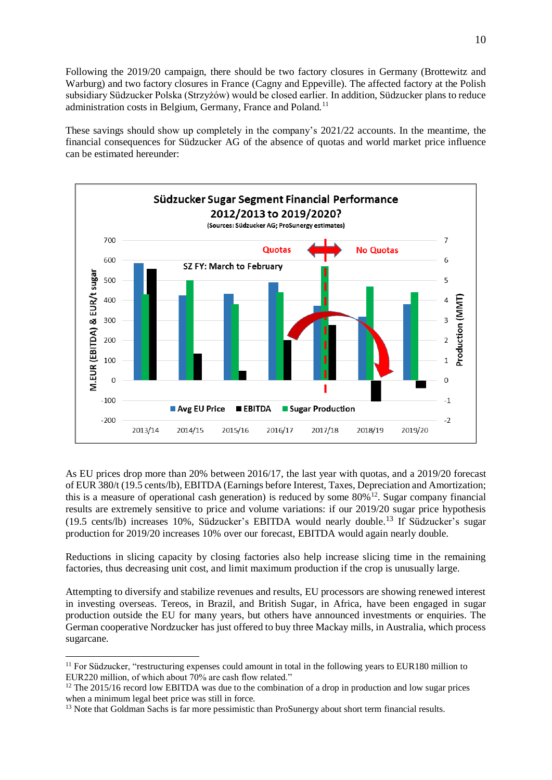Following the 2019/20 campaign, there should be two factory closures in Germany (Brottewitz and Warburg) and two factory closures in France (Cagny and Eppeville). The affected factory at the Polish subsidiary Südzucker Polska (Strzyżów) would be closed earlier. In addition, Südzucker plans to reduce administration costs in Belgium, Germany, France and Poland.<sup>11</sup>

These savings should show up completely in the company's 2021/22 accounts. In the meantime, the financial consequences for Südzucker AG of the absence of quotas and world market price influence can be estimated hereunder:



As EU prices drop more than 20% between 2016/17, the last year with quotas, and a 2019/20 forecast of EUR 380/t (19.5 cents/lb), EBITDA (Earnings before Interest, Taxes, Depreciation and Amortization; this is a measure of operational cash generation) is reduced by some  $80\%$ <sup>12</sup>. Sugar company financial results are extremely sensitive to price and volume variations: if our 2019/20 sugar price hypothesis (19.5 cents/lb) increases 10%, Südzucker's EBITDA would nearly double. <sup>13</sup> If Südzucker's sugar production for 2019/20 increases 10% over our forecast, EBITDA would again nearly double.

Reductions in slicing capacity by closing factories also help increase slicing time in the remaining factories, thus decreasing unit cost, and limit maximum production if the crop is unusually large.

Attempting to diversify and stabilize revenues and results, EU processors are showing renewed interest in investing overseas. Tereos, in Brazil, and British Sugar, in Africa, have been engaged in sugar production outside the EU for many years, but others have announced investments or enquiries. The German cooperative Nordzucker has just offered to buy three Mackay mills, in Australia, which process sugarcane.

 $11$  For Südzucker, "restructuring expenses could amount in total in the following years to EUR180 million to EUR220 million, of which about 70% are cash flow related."

<sup>&</sup>lt;sup>12</sup> The 2015/16 record low EBITDA was due to the combination of a drop in production and low sugar prices when a minimum legal beet price was still in force.

<sup>&</sup>lt;sup>13</sup> Note that Goldman Sachs is far more pessimistic than ProSunergy about short term financial results.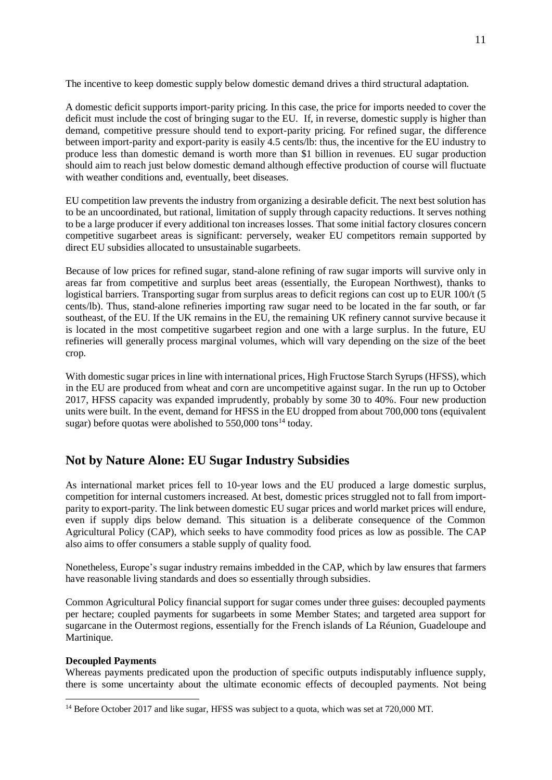The incentive to keep domestic supply below domestic demand drives a third structural adaptation.

A domestic deficit supports import-parity pricing. In this case, the price for imports needed to cover the deficit must include the cost of bringing sugar to the EU. If, in reverse, domestic supply is higher than demand, competitive pressure should tend to export-parity pricing. For refined sugar, the difference between import-parity and export-parity is easily 4.5 cents/lb: thus, the incentive for the EU industry to produce less than domestic demand is worth more than \$1 billion in revenues. EU sugar production should aim to reach just below domestic demand although effective production of course will fluctuate with weather conditions and, eventually, beet diseases.

EU competition law prevents the industry from organizing a desirable deficit. The next best solution has to be an uncoordinated, but rational, limitation of supply through capacity reductions. It serves nothing to be a large producer if every additional ton increases losses. That some initial factory closures concern competitive sugarbeet areas is significant: perversely, weaker EU competitors remain supported by direct EU subsidies allocated to unsustainable sugarbeets.

Because of low prices for refined sugar, stand-alone refining of raw sugar imports will survive only in areas far from competitive and surplus beet areas (essentially, the European Northwest), thanks to logistical barriers. Transporting sugar from surplus areas to deficit regions can cost up to EUR 100/t (5) cents/lb). Thus, stand-alone refineries importing raw sugar need to be located in the far south, or far southeast, of the EU. If the UK remains in the EU, the remaining UK refinery cannot survive because it is located in the most competitive sugarbeet region and one with a large surplus. In the future, EU refineries will generally process marginal volumes, which will vary depending on the size of the beet crop.

With domestic sugar prices in line with international prices, High Fructose Starch Syrups (HFSS), which in the EU are produced from wheat and corn are uncompetitive against sugar. In the run up to October 2017, HFSS capacity was expanded imprudently, probably by some 30 to 40%. Four new production units were built. In the event, demand for HFSS in the EU dropped from about 700,000 tons (equivalent sugar) before quotas were abolished to  $550,000$  tons<sup>14</sup> today.

# **Not by Nature Alone: EU Sugar Industry Subsidies**

As international market prices fell to 10-year lows and the EU produced a large domestic surplus, competition for internal customers increased. At best, domestic prices struggled not to fall from importparity to export-parity. The link between domestic EU sugar prices and world market prices will endure, even if supply dips below demand. This situation is a deliberate consequence of the Common Agricultural Policy (CAP), which seeks to have commodity food prices as low as possible. The CAP also aims to offer consumers a stable supply of quality food.

Nonetheless, Europe's sugar industry remains imbedded in the CAP, which by law ensures that farmers have reasonable living standards and does so essentially through subsidies.

Common Agricultural Policy financial support for sugar comes under three guises: decoupled payments per hectare; coupled payments for sugarbeets in some Member States; and targeted area support for sugarcane in the Outermost regions, essentially for the French islands of La Réunion, Guadeloupe and Martinique.

### **Decoupled Payments**

 $\overline{a}$ 

Whereas payments predicated upon the production of specific outputs indisputably influence supply, there is some uncertainty about the ultimate economic effects of decoupled payments. Not being

<sup>&</sup>lt;sup>14</sup> Before October 2017 and like sugar, HFSS was subject to a quota, which was set at 720,000 MT.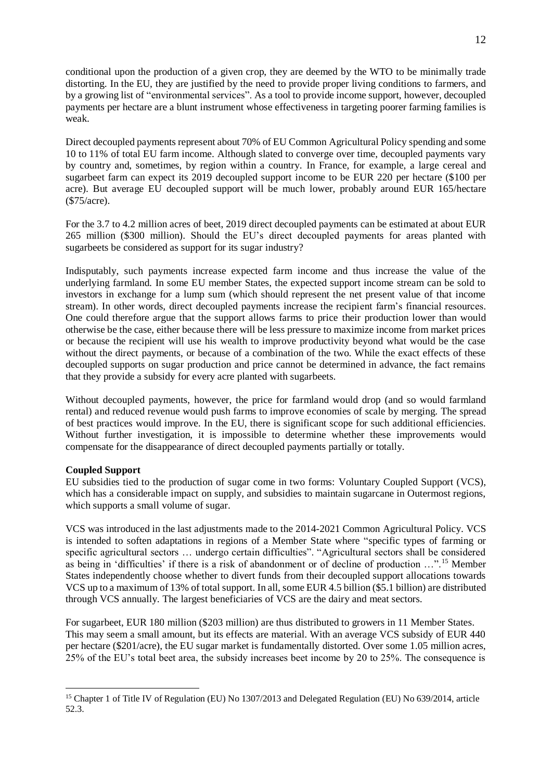conditional upon the production of a given crop, they are deemed by the WTO to be minimally trade distorting. In the EU, they are justified by the need to provide proper living conditions to farmers, and by a growing list of "environmental services". As a tool to provide income support, however, decoupled payments per hectare are a blunt instrument whose effectiveness in targeting poorer farming families is weak.

Direct decoupled payments represent about 70% of EU Common Agricultural Policy spending and some 10 to 11% of total EU farm income. Although slated to converge over time, decoupled payments vary by country and, sometimes, by region within a country. In France, for example, a large cereal and sugarbeet farm can expect its 2019 decoupled support income to be EUR 220 per hectare (\$100 per acre). But average EU decoupled support will be much lower, probably around EUR 165/hectare (\$75/acre).

For the 3.7 to 4.2 million acres of beet, 2019 direct decoupled payments can be estimated at about EUR 265 million (\$300 million). Should the EU's direct decoupled payments for areas planted with sugarbeets be considered as support for its sugar industry?

Indisputably, such payments increase expected farm income and thus increase the value of the underlying farmland. In some EU member States, the expected support income stream can be sold to investors in exchange for a lump sum (which should represent the net present value of that income stream). In other words, direct decoupled payments increase the recipient farm's financial resources. One could therefore argue that the support allows farms to price their production lower than would otherwise be the case, either because there will be less pressure to maximize income from market prices or because the recipient will use his wealth to improve productivity beyond what would be the case without the direct payments, or because of a combination of the two. While the exact effects of these decoupled supports on sugar production and price cannot be determined in advance, the fact remains that they provide a subsidy for every acre planted with sugarbeets.

Without decoupled payments, however, the price for farmland would drop (and so would farmland rental) and reduced revenue would push farms to improve economies of scale by merging. The spread of best practices would improve. In the EU, there is significant scope for such additional efficiencies. Without further investigation, it is impossible to determine whether these improvements would compensate for the disappearance of direct decoupled payments partially or totally.

### **Coupled Support**

 $\overline{a}$ 

EU subsidies tied to the production of sugar come in two forms: Voluntary Coupled Support (VCS), which has a considerable impact on supply, and subsidies to maintain sugarcane in Outermost regions, which supports a small volume of sugar.

VCS was introduced in the last adjustments made to the 2014-2021 Common Agricultural Policy. VCS is intended to soften adaptations in regions of a Member State where "specific types of farming or specific agricultural sectors ... undergo certain difficulties". "Agricultural sectors shall be considered as being in 'difficulties' if there is a risk of abandonment or of decline of production …".<sup>15</sup> Member States independently choose whether to divert funds from their decoupled support allocations towards VCS up to a maximum of 13% of total support. In all, some EUR 4.5 billion (\$5.1 billion) are distributed through VCS annually. The largest beneficiaries of VCS are the dairy and meat sectors.

For sugarbeet, EUR 180 million (\$203 million) are thus distributed to growers in 11 Member States. This may seem a small amount, but its effects are material. With an average VCS subsidy of EUR 440 per hectare (\$201/acre), the EU sugar market is fundamentally distorted. Over some 1.05 million acres, 25% of the EU's total beet area, the subsidy increases beet income by 20 to 25%. The consequence is

<sup>&</sup>lt;sup>15</sup> Chapter 1 of Title IV of Regulation (EU) No 1307/2013 and Delegated Regulation (EU) No 639/2014, article 52.3.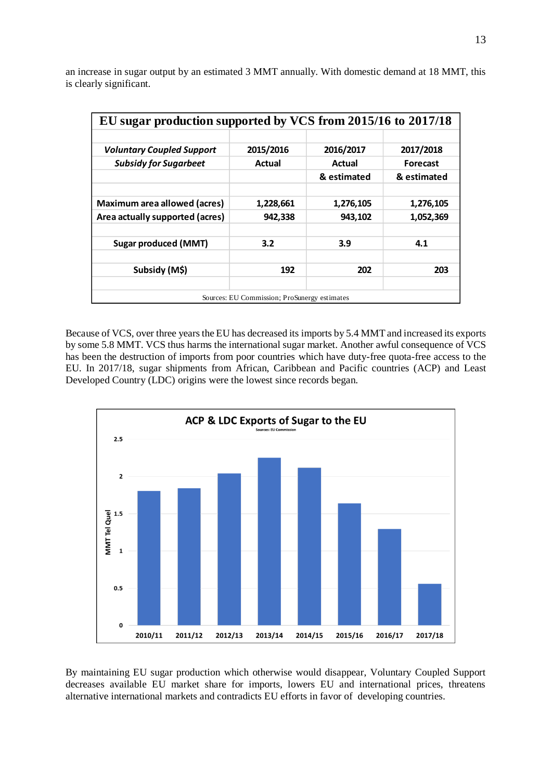an increase in sugar output by an estimated 3 MMT annually. With domestic demand at 18 MMT, this is clearly significant.

| EU sugar production supported by VCS from 2015/16 to 2017/18 |           |             |                 |
|--------------------------------------------------------------|-----------|-------------|-----------------|
|                                                              |           |             |                 |
| <b>Voluntary Coupled Support</b>                             | 2015/2016 | 2016/2017   | 2017/2018       |
| <b>Subsidy for Sugarbeet</b>                                 | Actual    | Actual      | <b>Forecast</b> |
|                                                              |           | & estimated | & estimated     |
|                                                              |           |             |                 |
| Maximum area allowed (acres)                                 | 1,228,661 | 1,276,105   | 1,276,105       |
| Area actually supported (acres)                              | 942,338   | 943,102     | 1,052,369       |
|                                                              |           |             |                 |
| <b>Sugar produced (MMT)</b>                                  | 3.2       | 3.9         | 4.1             |
|                                                              |           |             |                 |
| Subsidy (M\$)                                                | 192       | 202         | 203             |
|                                                              |           |             |                 |
| Sources: EU Commission: ProSunergy estimates                 |           |             |                 |

Because of VCS, over three years the EU has decreased its imports by 5.4 MMT and increased its exports by some 5.8 MMT. VCS thus harms the international sugar market. Another awful consequence of VCS has been the destruction of imports from poor countries which have duty-free quota-free access to the EU. In 2017/18, sugar shipments from African, Caribbean and Pacific countries (ACP) and Least Developed Country (LDC) origins were the lowest since records began.



By maintaining EU sugar production which otherwise would disappear, Voluntary Coupled Support decreases available EU market share for imports, lowers EU and international prices, threatens alternative international markets and contradicts EU efforts in favor of developing countries.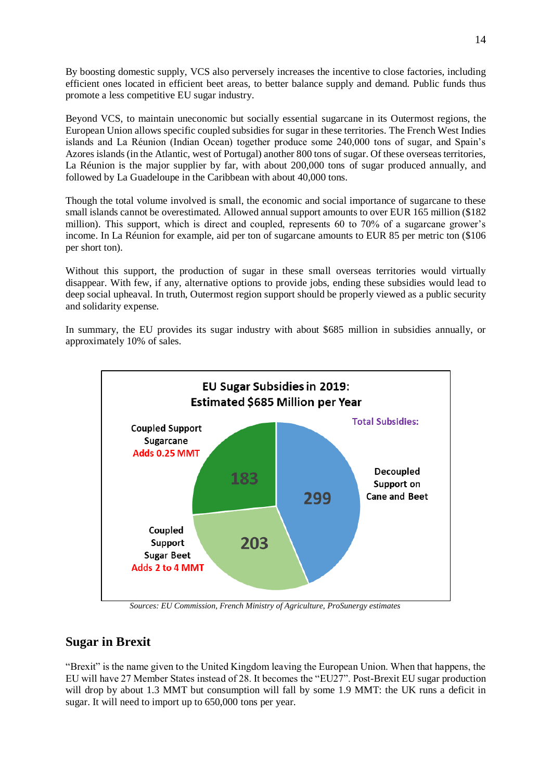By boosting domestic supply, VCS also perversely increases the incentive to close factories, including efficient ones located in efficient beet areas, to better balance supply and demand. Public funds thus promote a less competitive EU sugar industry.

Beyond VCS, to maintain uneconomic but socially essential sugarcane in its Outermost regions, the European Union allows specific coupled subsidies for sugar in these territories. The French West Indies islands and La Réunion (Indian Ocean) together produce some 240,000 tons of sugar, and Spain's Azores islands (in the Atlantic, west of Portugal) another 800 tons of sugar. Of these overseas territories, La Réunion is the major supplier by far, with about 200,000 tons of sugar produced annually, and followed by La Guadeloupe in the Caribbean with about 40,000 tons.

Though the total volume involved is small, the economic and social importance of sugarcane to these small islands cannot be overestimated. Allowed annual support amounts to over EUR 165 million (\$182 million). This support, which is direct and coupled, represents 60 to 70% of a sugarcane grower's income. In La Réunion for example, aid per ton of sugarcane amounts to EUR 85 per metric ton (\$106 per short ton).

Without this support, the production of sugar in these small overseas territories would virtually disappear. With few, if any, alternative options to provide jobs, ending these subsidies would lead to deep social upheaval. In truth, Outermost region support should be properly viewed as a public security and solidarity expense.

In summary, the EU provides its sugar industry with about \$685 million in subsidies annually, or approximately 10% of sales.



 *Sources: EU Commission, French Ministry of Agriculture, ProSunergy estimates*

# **Sugar in Brexit**

"Brexit" is the name given to the United Kingdom leaving the European Union. When that happens, the EU will have 27 Member States instead of 28. It becomes the "EU27". Post-Brexit EU sugar production will drop by about 1.3 MMT but consumption will fall by some 1.9 MMT: the UK runs a deficit in sugar. It will need to import up to 650,000 tons per year.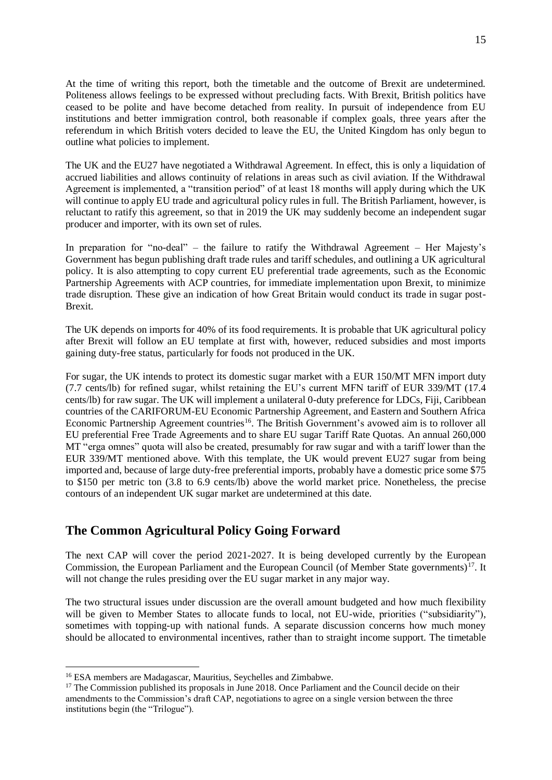At the time of writing this report, both the timetable and the outcome of Brexit are undetermined. Politeness allows feelings to be expressed without precluding facts. With Brexit, British politics have ceased to be polite and have become detached from reality. In pursuit of independence from EU institutions and better immigration control, both reasonable if complex goals, three years after the referendum in which British voters decided to leave the EU, the United Kingdom has only begun to outline what policies to implement.

The UK and the EU27 have negotiated a Withdrawal Agreement. In effect, this is only a liquidation of accrued liabilities and allows continuity of relations in areas such as civil aviation. If the Withdrawal Agreement is implemented, a "transition period" of at least 18 months will apply during which the UK will continue to apply EU trade and agricultural policy rules in full. The British Parliament, however, is reluctant to ratify this agreement, so that in 2019 the UK may suddenly become an independent sugar producer and importer, with its own set of rules.

In preparation for "no-deal" – the failure to ratify the Withdrawal Agreement – Her Majesty's Government has begun publishing draft trade rules and tariff schedules, and outlining a UK agricultural policy. It is also attempting to copy current EU preferential trade agreements, such as the Economic Partnership Agreements with ACP countries, for immediate implementation upon Brexit, to minimize trade disruption. These give an indication of how Great Britain would conduct its trade in sugar post-Brexit.

The UK depends on imports for 40% of its food requirements. It is probable that UK agricultural policy after Brexit will follow an EU template at first with, however, reduced subsidies and most imports gaining duty-free status, particularly for foods not produced in the UK.

For sugar, the UK intends to protect its domestic sugar market with a EUR 150/MT MFN import duty (7.7 cents/lb) for refined sugar, whilst retaining the EU's current MFN tariff of EUR 339/MT (17.4 cents/lb) for raw sugar. The UK will implement a unilateral 0-duty preference for LDCs, Fiji, Caribbean countries of the CARIFORUM-EU Economic Partnership Agreement, and Eastern and Southern Africa Economic Partnership Agreement countries<sup>16</sup>. The British Government's avowed aim is to rollover all EU preferential Free Trade Agreements and to share EU sugar Tariff Rate Quotas. An annual 260,000 MT "erga omnes" quota will also be created, presumably for raw sugar and with a tariff lower than the EUR 339/MT mentioned above. With this template, the UK would prevent EU27 sugar from being imported and, because of large duty-free preferential imports, probably have a domestic price some \$75 to \$150 per metric ton (3.8 to 6.9 cents/lb) above the world market price. Nonetheless, the precise contours of an independent UK sugar market are undetermined at this date.

# **The Common Agricultural Policy Going Forward**

The next CAP will cover the period 2021-2027. It is being developed currently by the European Commission, the European Parliament and the European Council (of Member State governments)<sup>17</sup>. It will not change the rules presiding over the EU sugar market in any major way.

The two structural issues under discussion are the overall amount budgeted and how much flexibility will be given to Member States to allocate funds to local, not EU-wide, priorities ("subsidiarity"), sometimes with topping-up with national funds. A separate discussion concerns how much money should be allocated to environmental incentives, rather than to straight income support. The timetable

<sup>16</sup> ESA members are Madagascar, Mauritius, Seychelles and Zimbabwe.

<sup>&</sup>lt;sup>17</sup> The Commission published its proposals in June 2018. Once Parliament and the Council decide on their amendments to the Commission's draft CAP, negotiations to agree on a single version between the three institutions begin (the "Trilogue").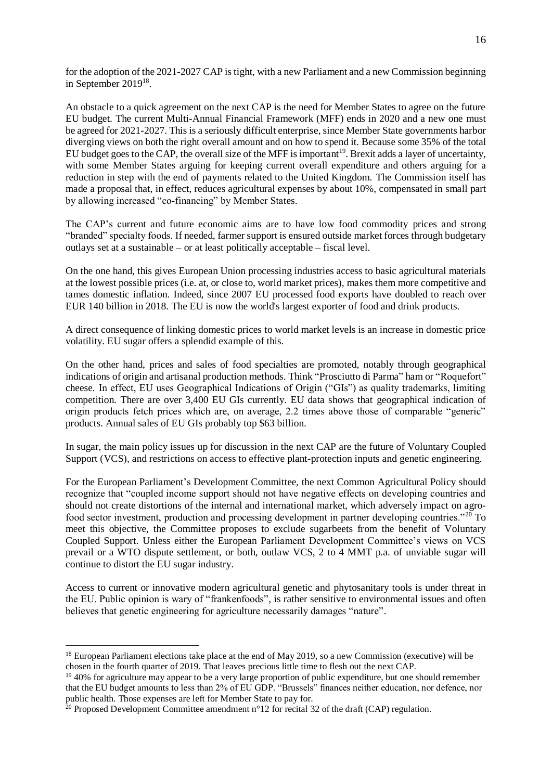for the adoption of the 2021-2027 CAP is tight, with a new Parliament and a new Commission beginning in September 2019<sup>18</sup>.

An obstacle to a quick agreement on the next CAP is the need for Member States to agree on the future EU budget. The current Multi-Annual Financial Framework (MFF) ends in 2020 and a new one must be agreed for 2021-2027. This is a seriously difficult enterprise, since Member State governments harbor diverging views on both the right overall amount and on how to spend it. Because some 35% of the total EU budget goes to the CAP, the overall size of the MFF is important<sup>19</sup>. Brexit adds a layer of uncertainty, with some Member States arguing for keeping current overall expenditure and others arguing for a reduction in step with the end of payments related to the United Kingdom. The Commission itself has made a proposal that, in effect, reduces agricultural expenses by about 10%, compensated in small part by allowing increased "co-financing" by Member States.

The CAP's current and future economic aims are to have low food commodity prices and strong "branded" specialty foods. If needed, farmer support is ensured outside market forces through budgetary outlays set at a sustainable – or at least politically acceptable – fiscal level.

On the one hand, this gives European Union processing industries access to basic agricultural materials at the lowest possible prices (i.e. at, or close to, world market prices), makes them more competitive and tames domestic inflation. Indeed, since 2007 EU processed food exports have doubled to reach over EUR 140 billion in 2018. The EU is now the world's largest exporter of food and drink products.

A direct consequence of linking domestic prices to world market levels is an increase in domestic price volatility. EU sugar offers a splendid example of this.

On the other hand, prices and sales of food specialties are promoted, notably through geographical indications of origin and artisanal production methods. Think "Prosciutto di Parma" ham or "Roquefort" cheese. In effect, EU uses Geographical Indications of Origin ("GIs") as quality trademarks, limiting competition. There are over 3,400 EU GIs currently. EU data shows that geographical indication of origin products fetch prices which are, on average, 2.2 times above those of comparable "generic" products. Annual sales of EU GIs probably top \$63 billion.

In sugar, the main policy issues up for discussion in the next CAP are the future of Voluntary Coupled Support (VCS), and restrictions on access to effective plant-protection inputs and genetic engineering.

For the European Parliament's Development Committee, the next Common Agricultural Policy should recognize that "coupled income support should not have negative effects on developing countries and should not create distortions of the internal and international market, which adversely impact on agrofood sector investment, production and processing development in partner developing countries."<sup>20</sup> To meet this objective, the Committee proposes to exclude sugarbeets from the benefit of Voluntary Coupled Support. Unless either the European Parliament Development Committee's views on VCS prevail or a WTO dispute settlement, or both, outlaw VCS, 2 to 4 MMT p.a. of unviable sugar will continue to distort the EU sugar industry.

Access to current or innovative modern agricultural genetic and phytosanitary tools is under threat in the EU. Public opinion is wary of "frankenfoods", is rather sensitive to environmental issues and often believes that genetic engineering for agriculture necessarily damages "nature".

 $18$  European Parliament elections take place at the end of May 2019, so a new Commission (executive) will be chosen in the fourth quarter of 2019. That leaves precious little time to flesh out the next CAP.

<sup>&</sup>lt;sup>19</sup> 40% for agriculture may appear to be a very large proportion of public expenditure, but one should remember that the EU budget amounts to less than 2% of EU GDP. "Brussels" finances neither education, nor defence, nor public health. Those expenses are left for Member State to pay for.

<sup>&</sup>lt;sup>20</sup> Proposed Development Committee amendment n°12 for recital 32 of the draft (CAP) regulation.